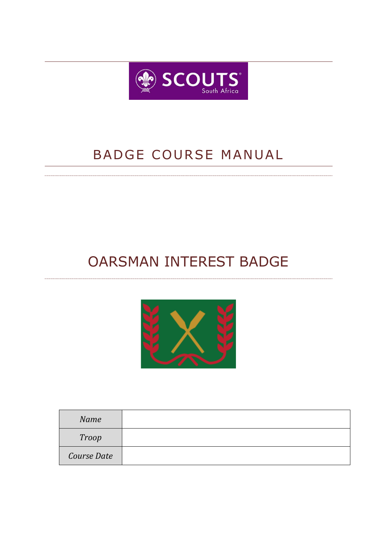

## BADGE COURSE MANUAL

# OARSMAN INTEREST BADGE



| Name        |  |
|-------------|--|
| Troop       |  |
| Course Date |  |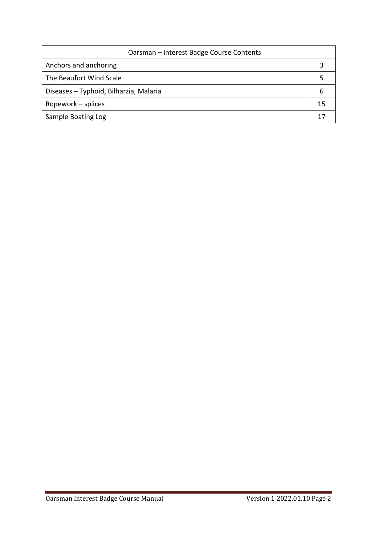| Oarsman - Interest Badge Course Contents |  |  |  |
|------------------------------------------|--|--|--|
| Anchors and anchoring                    |  |  |  |
| The Beaufort Wind Scale                  |  |  |  |
| Diseases - Typhoid, Bilharzia, Malaria   |  |  |  |
| Ropework – splices                       |  |  |  |
| Sample Boating Log                       |  |  |  |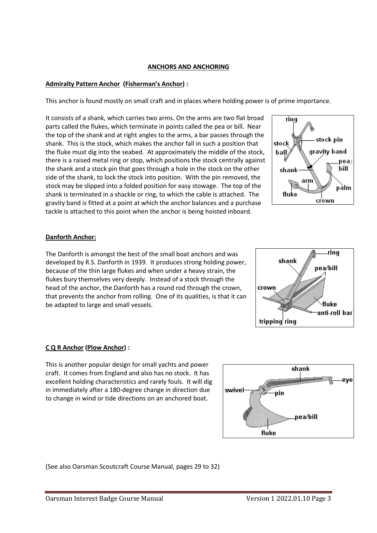#### **ANCHORS AND ANCHORING**

## **Admiralty Pattern Anchor (Fisherman's Anchor) :**

This anchor is found mostly on small craft and in places where holding power is of prime importance.

It consists of a shank, which carries two arms. On the arms are two flat broad parts called the flukes, which terminate in points called the pea or bill. Near the top of the shank and at right angles to the arms, a bar passes through the shank. This is the stock, which makes the anchor fall in such a position that the fluke must dig into the seabed. At approximately the middle of the stock, there is a raised metal ring or stop, which positions the stock centrally against the shank and a stock pin that goes through a hole in the stock on the other side of the shank, to lock the stock into position. With the pin removed, the stock may be slipped into a folded position for easy stowage. The top of the shank is terminated in a shackle or ring, to which the cable is attached. The gravity band is fitted at a point at which the anchor balances and a purchase tackle is attached to this point when the anchor is being hoisted inboard.



## **Danforth Anchor:**

The Danforth is amongst the best of the small boat anchors and was developed by R.S. Danforth in 1939. It produces strong holding power, because of the thin large flukes and when under a heavy strain, the flukes bury themselves very deeply. Instead of a stock through the head of the anchor, the Danforth has a round rod through the crown, that prevents the anchor from rolling. One of its qualities, is that it can be adapted to large and small vessels.



#### **C Q R Anchor (Plow Anchor) :**

This is another popular design for small yachts and power craft. It comes from England and also has no stock. It has excellent holding characteristics and rarely fouls. It will dig in immediately after a 180-degree change in direction due to change in wind or tide directions on an anchored boat.



(See also Oarsman Scoutcraft Course Manual, pages 29 to 32)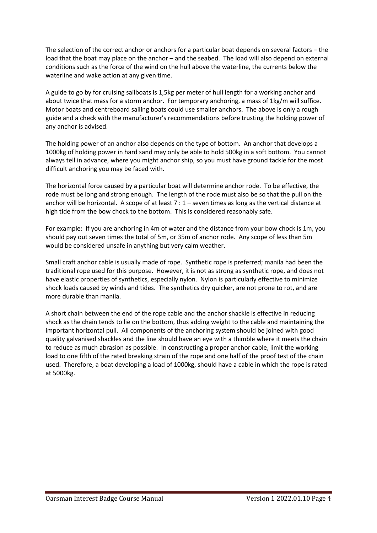The selection of the correct anchor or anchors for a particular boat depends on several factors – the load that the boat may place on the anchor – and the seabed. The load will also depend on external conditions such as the force of the wind on the hull above the waterline, the currents below the waterline and wake action at any given time.

A guide to go by for cruising sailboats is 1,5kg per meter of hull length for a working anchor and about twice that mass for a storm anchor. For temporary anchoring, a mass of 1kg/m will suffice. Motor boats and centreboard sailing boats could use smaller anchors. The above is only a rough guide and a check with the manufacturer's recommendations before trusting the holding power of any anchor is advised.

The holding power of an anchor also depends on the type of bottom. An anchor that develops a 1000kg of holding power in hard sand may only be able to hold 500kg in a soft bottom. You cannot always tell in advance, where you might anchor ship, so you must have ground tackle for the most difficult anchoring you may be faced with.

The horizontal force caused by a particular boat will determine anchor rode. To be effective, the rode must be long and strong enough. The length of the rode must also be so that the pull on the anchor will be horizontal. A scope of at least  $7:1$  – seven times as long as the vertical distance at high tide from the bow chock to the bottom. This is considered reasonably safe.

For example: If you are anchoring in 4m of water and the distance from your bow chock is 1m, you should pay out seven times the total of 5m, or 35m of anchor rode. Any scope of less than 5m would be considered unsafe in anything but very calm weather.

Small craft anchor cable is usually made of rope. Synthetic rope is preferred; manila had been the traditional rope used for this purpose. However, it is not as strong as synthetic rope, and does not have elastic properties of synthetics, especially nylon. Nylon is particularly effective to minimize shock loads caused by winds and tides. The synthetics dry quicker, are not prone to rot, and are more durable than manila.

A short chain between the end of the rope cable and the anchor shackle is effective in reducing shock as the chain tends to lie on the bottom, thus adding weight to the cable and maintaining the important horizontal pull. All components of the anchoring system should be joined with good quality galvanised shackles and the line should have an eye with a thimble where it meets the chain to reduce as much abrasion as possible. In constructing a proper anchor cable, limit the working load to one fifth of the rated breaking strain of the rope and one half of the proof test of the chain used. Therefore, a boat developing a load of 1000kg, should have a cable in which the rope is rated at 5000kg.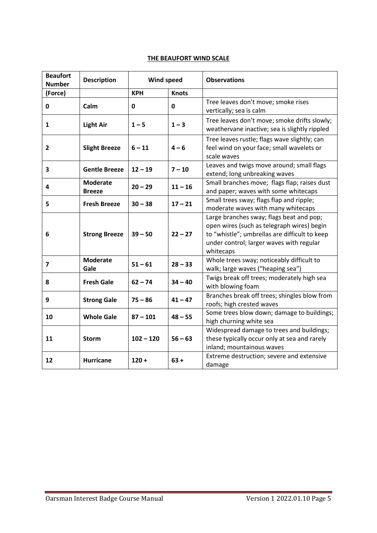## **THE BEAUFORT WIND SCALE**

| <b>Beaufort</b><br><b>Number</b> | <b>Description</b>               | <b>Wind speed</b> |              | <b>Observations</b>                                                                                                                                                                              |  |  |
|----------------------------------|----------------------------------|-------------------|--------------|--------------------------------------------------------------------------------------------------------------------------------------------------------------------------------------------------|--|--|
| (Force)                          |                                  | <b>KPH</b>        | <b>Knots</b> |                                                                                                                                                                                                  |  |  |
| $\mathbf 0$                      | Calm                             | $\mathbf 0$       | $\mathbf 0$  | Tree leaves don't move; smoke rises<br>vertically; sea is calm                                                                                                                                   |  |  |
| 1                                | <b>Light Air</b>                 | $1 - 5$           | $1 - 3$      | Tree leaves don't move; smoke drifts slowly;<br>weathervane inactive; sea is slightly rippled                                                                                                    |  |  |
| $\overline{2}$                   | <b>Slight Breeze</b>             | $6 - 11$          | $4 - 6$      | Tree leaves rustle; flags wave slightly; can<br>feel wind on your face; small wavelets or<br>scale waves                                                                                         |  |  |
| 3                                | <b>Gentle Breeze</b>             | $12 - 19$         | $7 - 10$     | Leaves and twigs move around; small flags<br>extend; long unbreaking waves                                                                                                                       |  |  |
| 4                                | <b>Moderate</b><br><b>Breeze</b> | $20 - 29$         | $11 - 16$    | Small branches move; flags flap; raises dust<br>and paper; waves with some whitecaps                                                                                                             |  |  |
| 5                                | <b>Fresh Breeze</b>              | $30 - 38$         | $17 - 21$    | Small trees sway; flags flap and ripple;<br>moderate waves with many whitecaps                                                                                                                   |  |  |
| 6                                | <b>Strong Breeze</b>             | $39 - 50$         | $22 - 27$    | Large branches sway; flags beat and pop;<br>open wires (such as telegraph wires) begin<br>to "whistle"; umbrellas are difficult to keep<br>under control; larger waves with regular<br>whitecaps |  |  |
| 7                                | <b>Moderate</b><br>Gale          | $51 - 61$         | $28 - 33$    | Whole trees sway; noticeably difficult to<br>walk; large waves ("heaping sea")                                                                                                                   |  |  |
| 8                                | <b>Fresh Gale</b>                | $62 - 74$         | $34 - 40$    | Twigs break off trees; moderately high sea<br>with blowing foam                                                                                                                                  |  |  |
| 9                                | <b>Strong Gale</b>               | $75 - 86$         | $41 - 47$    | Branches break off trees; shingles blow from<br>roofs; high crested waves                                                                                                                        |  |  |
| 10                               | <b>Whole Gale</b>                | $87 - 101$        | $48 - 55$    | Some trees blow down; damage to buildings;<br>high churning white sea                                                                                                                            |  |  |
| 11                               | <b>Storm</b>                     | $102 - 120$       | $56 - 63$    | Widespread damage to trees and buildings;<br>these typically occur only at sea and rarely<br>inland; mountainous waves                                                                           |  |  |
| 12                               | <b>Hurricane</b>                 | $120 +$           | $63 +$       | Extreme destruction; severe and extensive<br>damage                                                                                                                                              |  |  |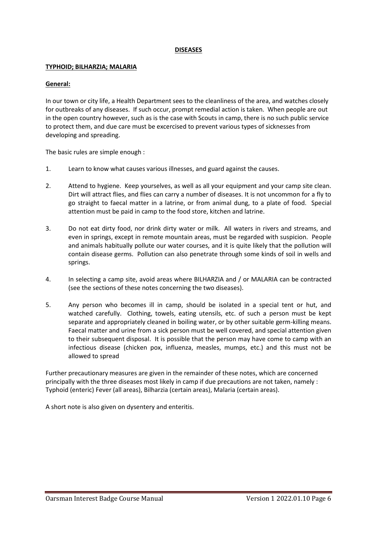#### **DISEASES**

#### **TYPHOID; BILHARZIA; MALARIA**

#### **General:**

In our town or city life, a Health Department sees to the cleanliness of the area, and watches closely for outbreaks of any diseases. If such occur, prompt remedial action is taken. When people are out in the open country however, such as is the case with Scouts in camp, there is no such public service to protect them, and due care must be excercised to prevent various types of sicknesses from developing and spreading.

The basic rules are simple enough :

- 1. Learn to know what causes various illnesses, and guard against the causes.
- 2. Attend to hygiene. Keep yourselves, as well as all your equipment and your camp site clean. Dirt will attract flies, and flies can carry a number of diseases. It is not uncommon for a fly to go straight to faecal matter in a latrine, or from animal dung, to a plate of food. Special attention must be paid in camp to the food store, kitchen and latrine.
- 3. Do not eat dirty food, nor drink dirty water or milk. All waters in rivers and streams, and even in springs, except in remote mountain areas, must be regarded with suspicion. People and animals habitually pollute our water courses, and it is quite likely that the pollution will contain disease germs. Pollution can also penetrate through some kinds of soil in wells and springs.
- 4. In selecting a camp site, avoid areas where BILHARZIA and / or MALARIA can be contracted (see the sections of these notes concerning the two diseases).
- 5. Any person who becomes ill in camp, should be isolated in a special tent or hut, and watched carefully. Clothing, towels, eating utensils, etc. of such a person must be kept separate and appropriately cleaned in boiling water, or by other suitable germ-killing means. Faecal matter and urine from a sick person must be well covered, and special attention given to their subsequent disposal. It is possible that the person may have come to camp with an infectious disease (chicken pox, influenza, measles, mumps, etc.) and this must not be allowed to spread

Further precautionary measures are given in the remainder of these notes, which are concerned principally with the three diseases most likely in camp if due precautions are not taken, namely : Typhoid (enteric) Fever (all areas), Bilharzia (certain areas), Malaria (certain areas).

A short note is also given on dysentery and enteritis.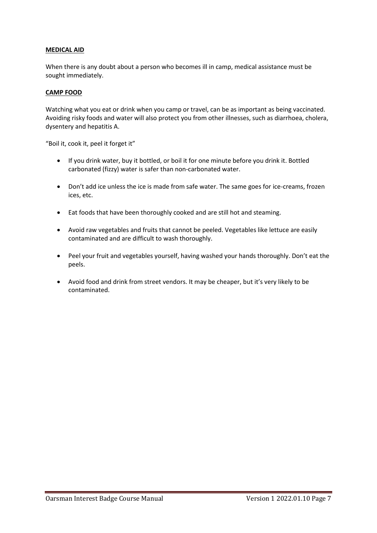### **MEDICAL AID**

When there is any doubt about a person who becomes ill in camp, medical assistance must be sought immediately.

#### **CAMP FOOD**

Watching what you eat or drink when you camp or travel, can be as important as being vaccinated. Avoiding risky foods and water will also protect you from other illnesses, such as diarrhoea, cholera, dysentery and hepatitis A.

"Boil it, cook it, peel it forget it"

- If you drink water, buy it bottled, or boil it for one minute before you drink it. Bottled carbonated (fizzy) water is safer than non-carbonated water.
- Don't add ice unless the ice is made from safe water. The same goes for ice-creams, frozen ices, etc.
- Eat foods that have been thoroughly cooked and are still hot and steaming.
- Avoid raw vegetables and fruits that cannot be peeled. Vegetables like lettuce are easily contaminated and are difficult to wash thoroughly.
- Peel your fruit and vegetables yourself, having washed your hands thoroughly. Don't eat the peels.
- Avoid food and drink from street vendors. It may be cheaper, but it's very likely to be contaminated.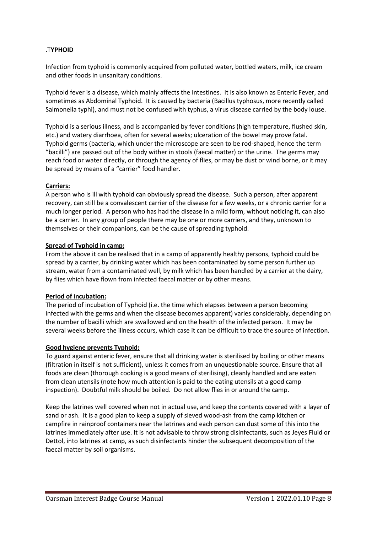## .T**YPHOID**

Infection from typhoid is commonly acquired from polluted water, bottled waters, milk, ice cream and other foods in unsanitary conditions.

Typhoid fever is a disease, which mainly affects the intestines. It is also known as Enteric Fever, and sometimes as Abdominal Typhoid. It is caused by bacteria (Bacillus typhosus, more recently called Salmonella typhi), and must not be confused with typhus, a virus disease carried by the body louse.

Typhoid is a serious illness, and is accompanied by fever conditions (high temperature, flushed skin, etc.) and watery diarrhoea, often for several weeks; ulceration of the bowel may prove fatal. Typhoid germs (bacteria, which under the microscope are seen to be rod-shaped, hence the term "bacilli") are passed out of the body wither in stools (faecal matter) or the urine. The germs may reach food or water directly, or through the agency of flies, or may be dust or wind borne, or it may be spread by means of a "carrier" food handler.

## **Carriers:**

A person who is ill with typhoid can obviously spread the disease. Such a person, after apparent recovery, can still be a convalescent carrier of the disease for a few weeks, or a chronic carrier for a much longer period. A person who has had the disease in a mild form, without noticing it, can also be a carrier. In any group of people there may be one or more carriers, and they, unknown to themselves or their companions, can be the cause of spreading typhoid.

#### **Spread of Typhoid in camp:**

From the above it can be realised that in a camp of apparently healthy persons, typhoid could be spread by a carrier, by drinking water which has been contaminated by some person further up stream, water from a contaminated well, by milk which has been handled by a carrier at the dairy, by flies which have flown from infected faecal matter or by other means.

#### **Period of incubation:**

The period of incubation of Typhoid (i.e. the time which elapses between a person becoming infected with the germs and when the disease becomes apparent) varies considerably, depending on the number of bacilli which are swallowed and on the health of the infected person. It may be several weeks before the illness occurs, which case it can be difficult to trace the source of infection.

#### **Good hygiene prevents Typhoid:**

To guard against enteric fever, ensure that all drinking water is sterilised by boiling or other means (filtration in itself is not sufficient), unless it comes from an unquestionable source. Ensure that all foods are clean (thorough cooking is a good means of sterilising), cleanly handled and are eaten from clean utensils (note how much attention is paid to the eating utensils at a good camp inspection). Doubtful milk should be boiled. Do not allow flies in or around the camp.

Keep the latrines well covered when not in actual use, and keep the contents covered with a layer of sand or ash. It is a good plan to keep a supply of sieved wood-ash from the camp kitchen or campfire in rainproof containers near the latrines and each person can dust some of this into the latrines immediately after use. It is not advisable to throw strong disinfectants, such as Jeyes Fluid or Dettol, into latrines at camp, as such disinfectants hinder the subsequent decomposition of the faecal matter by soil organisms.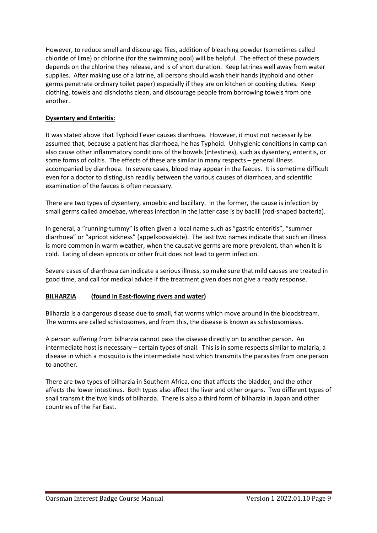However, to reduce smell and discourage flies, addition of bleaching powder (sometimes called chloride of lime) or chlorine (for the swimming pool) will be helpful. The effect of these powders depends on the chlorine they release, and is of short duration. Keep latrines well away from water supplies. After making use of a latrine, all persons should wash their hands (typhoid and other germs penetrate ordinary toilet paper) especially if they are on kitchen or cooking duties. Keep clothing, towels and dishcloths clean, and discourage people from borrowing towels from one another.

## **Dysentery and Enteritis:**

It was stated above that Typhoid Fever causes diarrhoea. However, it must not necessarily be assumed that, because a patient has diarrhoea, he has Typhoid. Unhygienic conditions in camp can also cause other inflammatory conditions of the bowels (intestines), such as dysentery, enteritis, or some forms of colitis. The effects of these are similar in many respects – general illness accompanied by diarrhoea. In severe cases, blood may appear in the faeces. It is sometime difficult even for a doctor to distinguish readily between the various causes of diarrhoea, and scientific examination of the faeces is often necessary.

There are two types of dysentery, amoebic and bacillary. In the former, the cause is infection by small germs called amoebae, whereas infection in the latter case is by bacilli (rod-shaped bacteria).

In general, a "running-tummy" is often given a local name such as "gastric enteritis", "summer diarrhoea" or "apricot sickness" (appelkoossiekte). The last two names indicate that such an illness is more common in warm weather, when the causative germs are more prevalent, than when it is cold. Eating of clean apricots or other fruit does not lead to germ infection.

Severe cases of diarrhoea can indicate a serious illness, so make sure that mild causes are treated in good time, and call for medical advice if the treatment given does not give a ready response.

## **BILHARZIA (found in East-flowing rivers and water)**

Bilharzia is a dangerous disease due to small, flat worms which move around in the bloodstream. The worms are called schistosomes, and from this, the disease is known as schistosomiasis.

A person suffering from bilharzia cannot pass the disease directly on to another person. An intermediate host is necessary – certain types of snail. This is in some respects similar to malaria, a disease in which a mosquito is the intermediate host which transmits the parasites from one person to another.

There are two types of bilharzia in Southern Africa, one that affects the bladder, and the other affects the lower intestines. Both types also affect the liver and other organs. Two different types of snail transmit the two kinds of bilharzia. There is also a third form of bilharzia in Japan and other countries of the Far East.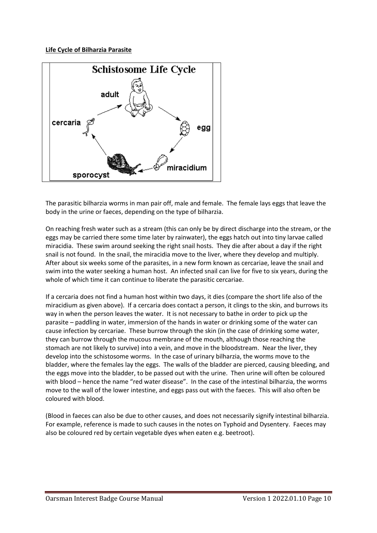## **Life Cycle of Bilharzia Parasite**



The parasitic bilharzia worms in man pair off, male and female. The female lays eggs that leave the body in the urine or faeces, depending on the type of bilharzia.

On reaching fresh water such as a stream (this can only be by direct discharge into the stream, or the eggs may be carried there some time later by rainwater), the eggs hatch out into tiny larvae called miracidia. These swim around seeking the right snail hosts. They die after about a day if the right snail is not found. In the snail, the miracidia move to the liver, where they develop and multiply. After about six weeks some of the parasites, in a new form known as cercariae, leave the snail and swim into the water seeking a human host. An infected snail can live for five to six years, during the whole of which time it can continue to liberate the parasitic cercariae.

If a cercaria does not find a human host within two days, it dies (compare the short life also of the miracidium as given above). If a cercaria does contact a person, it clings to the skin, and burrows its way in when the person leaves the water. It is not necessary to bathe in order to pick up the parasite – paddling in water, immersion of the hands in water or drinking some of the water can cause infection by cercariae. These burrow through the skin (in the case of drinking some water, they can burrow through the mucous membrane of the mouth, although those reaching the stomach are not likely to survive) into a vein, and move in the bloodstream. Near the liver, they develop into the schistosome worms. In the case of urinary bilharzia, the worms move to the bladder, where the females lay the eggs. The walls of the bladder are pierced, causing bleeding, and the eggs move into the bladder, to be passed out with the urine. Then urine will often be coloured with blood – hence the name "red water disease". In the case of the intestinal bilharzia, the worms move to the wall of the lower intestine, and eggs pass out with the faeces. This will also often be coloured with blood.

(Blood in faeces can also be due to other causes, and does not necessarily signify intestinal bilharzia. For example, reference is made to such causes in the notes on Typhoid and Dysentery. Faeces may also be coloured red by certain vegetable dyes when eaten e.g. beetroot).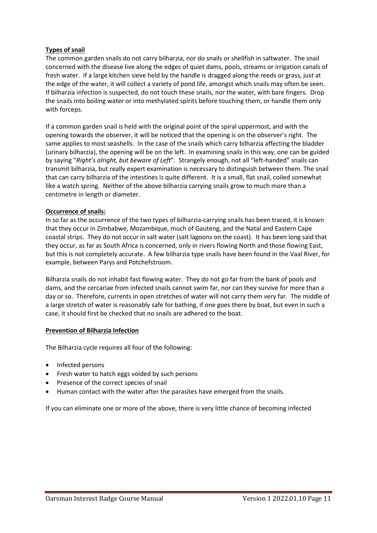## **Types of snail**

The common garden snails do not carry bilharzia, nor do snails or shellfish in saltwater. The snail concerned with the disease live along the edges of quiet dams, pools, streams or irrigation canals of fresh water. If a large kitchen sieve held by the handle is dragged along the reeds or grass, just at the edge of the water, it will collect a variety of pond life, amongst which snails may often be seen. If bilharzia infection is suspected, do not touch these snails, nor the water, with bare fingers. Drop the snails into boiling water or into methylated spirits before touching them, or handle them only with forceps.

If a common garden snail is held with the original point of the spiral uppermost, and with the opening towards the observer, it will be noticed that the opening is on the observer's right. The same applies to most seashells. In the case of the snails which carry bilharzia affecting the bladder (urinary bilharzia), the opening will be on the left. In examining snails in this way, one can be guided by saying "*Right's alright, but beware of Left*". Strangely enough, not all "left-handed" snails can transmit bilharzia, but really expert examination is necessary to distinguish between them. The snail that can carry bilharzia of the intestines is quite different. It is a small, flat snail, coiled somewhat like a watch spring. Neither of the above bilharzia carrying snails grow to much more than a centimetre in length or diameter.

#### **Occurrence of snails:**

In so far as the occurrence of the two types of bilharzia-carrying snails has been traced, it is known that they occur in Zimbabwe, Mozambique, much of Gauteng, and the Natal and Eastern Cape coastal strips. They do not occur in salt water (salt lagoons on the coast). It has been long said that they occur, as far as South Africa is concerned, only in rivers flowing North and those flowing East, but this is not completely accurate. A few bilharzia type snails have been found in the Vaal River, for example, between Parys and Potchefstroom.

Bilharzia snails do not inhabit fast flowing water. They do not go far from the bank of pools and dams, and the cercariae from infected snails cannot swim far, nor can they survive for more than a day or so. Therefore, currents in open stretches of water will not carry them very far. The middle of a large stretch of water is reasonably safe for bathing, if one goes there by boat, but even in such a case, it should first be checked that no snails are adhered to the boat.

#### **Prevention of Bilharzia Infection**

The Bilharzia cycle requires all four of the following:

- Infected persons
- Fresh water to hatch eggs voided by such persons
- Presence of the correct species of snail
- Human contact with the water after the parasites have emerged from the snails.

If you can eliminate one or more of the above, there is very little chance of becoming infected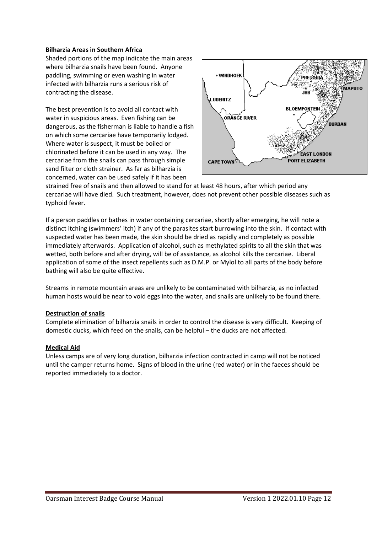#### **Bilharzia Areas in Southern Africa**

Shaded portions of the map indicate the main areas where bilharzia snails have been found. Anyone paddling, swimming or even washing in water infected with bilharzia runs a serious risk of contracting the disease.

The best prevention is to avoid all contact with water in suspicious areas. Even fishing can be dangerous, as the fisherman is liable to handle a fish on which some cercariae have temporarily lodged. Where water is suspect, it must be boiled or chlorinated before it can be used in any way. The cercariae from the snails can pass through simple sand filter or cloth strainer. As far as bilharzia is concerned, water can be used safely if it has been



strained free of snails and then allowed to stand for at least 48 hours, after which period any cercariae will have died. Such treatment, however, does not prevent other possible diseases such as typhoid fever.

If a person paddles or bathes in water containing cercariae, shortly after emerging, he will note a distinct itching (swimmers' itch) if any of the parasites start burrowing into the skin. If contact with suspected water has been made, the skin should be dried as rapidly and completely as possible immediately afterwards. Application of alcohol, such as methylated spirits to all the skin that was wetted, both before and after drying, will be of assistance, as alcohol kills the cercariae. Liberal application of some of the insect repellents such as D.M.P. or Mylol to all parts of the body before bathing will also be quite effective.

Streams in remote mountain areas are unlikely to be contaminated with bilharzia, as no infected human hosts would be near to void eggs into the water, and snails are unlikely to be found there.

#### **Destruction of snails**

Complete elimination of bilharzia snails in order to control the disease is very difficult. Keeping of domestic ducks, which feed on the snails, can be helpful – the ducks are not affected.

#### **Medical Aid**

Unless camps are of very long duration, bilharzia infection contracted in camp will not be noticed until the camper returns home. Signs of blood in the urine (red water) or in the faeces should be reported immediately to a doctor.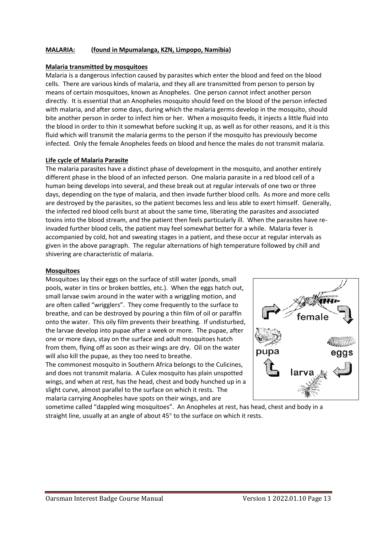### **MALARIA: (found in Mpumalanga, KZN, Limpopo, Namibia)**

#### **Malaria transmitted by mosquitoes**

Malaria is a dangerous infection caused by parasites which enter the blood and feed on the blood cells. There are various kinds of malaria, and they all are transmitted from person to person by means of certain mosquitoes, known as Anopheles. One person cannot infect another person directly. It is essential that an Anopheles mosquito should feed on the blood of the person infected with malaria, and after some days, during which the malaria germs develop in the mosquito, should bite another person in order to infect him or her. When a mosquito feeds, it injects a little fluid into the blood in order to thin it somewhat before sucking it up, as well as for other reasons, and it is this fluid which will transmit the malaria germs to the person if the mosquito has previously become infected. Only the female Anopheles feeds on blood and hence the males do not transmit malaria.

#### **Life cycle of Malaria Parasite**

The malaria parasites have a distinct phase of development in the mosquito, and another entirely different phase in the blood of an infected person. One malaria parasite in a red blood cell of a human being develops into several, and these break out at regular intervals of one two or three days, depending on the type of malaria, and then invade further blood cells. As more and more cells are destroyed by the parasites, so the patient becomes less and less able to exert himself. Generally, the infected red blood cells burst at about the same time, liberating the parasites and associated toxins into the blood stream, and the patient then feels particularly ill. When the parasites have reinvaded further blood cells, the patient may feel somewhat better for a while. Malaria fever is accompanied by cold, hot and sweating stages in a patient, and these occur at regular intervals as given in the above paragraph. The regular alternations of high temperature followed by chill and shivering are characteristic of malaria.

#### **Mosquitoes**

Mosquitoes lay their eggs on the surface of still water (ponds, small pools, water in tins or broken bottles, etc.). When the eggs hatch out, small larvae swim around in the water with a wriggling motion, and are often called "wrigglers". They come frequently to the surface to breathe, and can be destroyed by pouring a thin film of oil or paraffin onto the water. This oily film prevents their breathing. If undisturbed, the larvae develop into pupae after a week or more. The pupae, after one or more days, stay on the surface and adult mosquitoes hatch from them, flying off as soon as their wings are dry. Oil on the water will also kill the pupae, as they too need to breathe.

The commonest mosquito in Southern Africa belongs to the Culicines, and does not transmit malaria. A Culex mosquito has plain unspotted wings, and when at rest, has the head, chest and body hunched up in a slight curve, almost parallel to the surface on which it rests. The malaria carrying Anopheles have spots on their wings, and are



sometime called "dappled wing mosquitoes". An Anopheles at rest, has head, chest and body in a straight line, usually at an angle of about  $45^\circ$  to the surface on which it rests.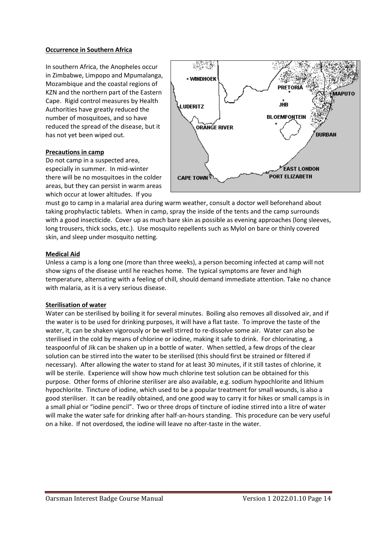### **Occurrence in Southern Africa**

In southern Africa, the Anopheles occur in Zimbabwe, Limpopo and Mpumalanga, Mozambique and the coastal regions of KZN and the northern part of the Eastern Cape. Rigid control measures by Health Authorities have greatly reduced the number of mosquitoes, and so have reduced the spread of the disease, but it has not yet been wiped out.

#### **Precautions in camp**

Do not camp in a suspected area, especially in summer. In mid-winter there will be no mosquitoes in the colder areas, but they can persist in warm areas which occur at lower altitudes. If you



must go to camp in a malarial area during warm weather, consult a doctor well beforehand about taking prophylactic tablets. When in camp, spray the inside of the tents and the camp surrounds with a good insecticide. Cover up as much bare skin as possible as evening approaches (long sleeves, long trousers, thick socks, etc.). Use mosquito repellents such as Mylol on bare or thinly covered skin, and sleep under mosquito netting.

#### **Medical Aid**

Unless a camp is a long one (more than three weeks), a person becoming infected at camp will not show signs of the disease until he reaches home. The typical symptoms are fever and high temperature, alternating with a feeling of chill, should demand immediate attention. Take no chance with malaria, as it is a very serious disease.

#### **Sterilisation of water**

Water can be sterilised by boiling it for several minutes. Boiling also removes all dissolved air, and if the water is to be used for drinking purposes, it will have a flat taste. To improve the taste of the water, it, can be shaken vigorously or be well stirred to re-dissolve some air. Water can also be sterilised in the cold by means of chlorine or iodine, making it safe to drink. For chlorinating, a teaspoonful of Jik can be shaken up in a bottle of water. When settled, a few drops of the clear solution can be stirred into the water to be sterilised (this should first be strained or filtered if necessary). After allowing the water to stand for at least 30 minutes, if it still tastes of chlorine, it will be sterile. Experience will show how much chlorine test solution can be obtained for this purpose. Other forms of chlorine steriliser are also available, e.g. sodium hypochlorite and lithium hypochlorite. Tincture of iodine, which used to be a popular treatment for small wounds, is also a good steriliser. It can be readily obtained, and one good way to carry it for hikes or small camps is in a small phial or "iodine pencil". Two or three drops of tincture of iodine stirred into a litre of water will make the water safe for drinking after half-an-hours standing. This procedure can be very useful on a hike. If not overdosed, the iodine will leave no after-taste in the water.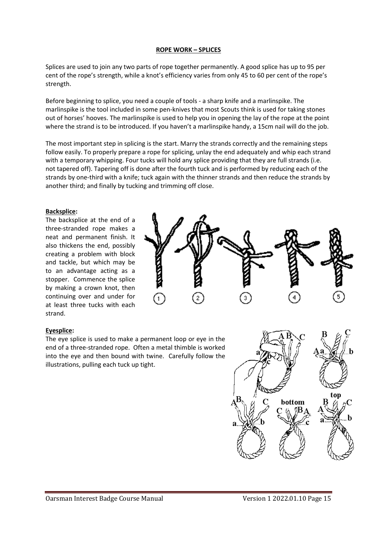#### **ROPE WORK – SPLICES**

Splices are used to join any two parts of rope together permanently. A good splice has up to 95 per cent of the rope's strength, while a knot's efficiency varies from only 45 to 60 per cent of the rope's strength.

Before beginning to splice, you need a couple of tools - a sharp knife and a marlinspike. The marlinspike is the tool included in some pen-knives that most Scouts think is used for taking stones out of horses' hooves. The marlinspike is used to help you in opening the lay of the rope at the point where the strand is to be introduced. If you haven't a marlinspike handy, a 15cm nail will do the job.

The most important step in splicing is the start. Marry the strands correctly and the remaining steps follow easily. To properly prepare a rope for splicing, unlay the end adequately and whip each strand with a temporary whipping. Four tucks will hold any splice providing that they are full strands (i.e. not tapered off). Tapering off is done after the fourth tuck and is performed by reducing each of the strands by one-third with a knife; tuck again with the thinner strands and then reduce the strands by another third; and finally by tucking and trimming off close.

## **Backsplice:**

The backsplice at the end of a three-stranded rope makes a neat and permanent finish. It also thickens the end, possibly creating a problem with block and tackle, but which may be to an advantage acting as a stopper. Commence the splice by making a crown knot, then continuing over and under for at least three tucks with each strand.



#### **Eyesplice:**

The eye splice is used to make a permanent loop or eye in the end of a three-stranded rope. Often a metal thimble is worked into the eye and then bound with twine. Carefully follow the illustrations, pulling each tuck up tight.

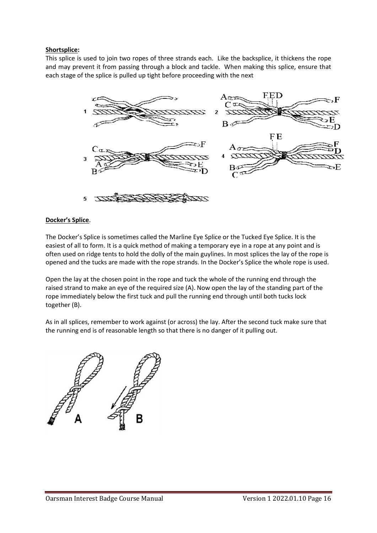## **Shortsplice:**

This splice is used to join two ropes of three strands each. Like the backsplice, it thickens the rope and may prevent it from passing through a block and tackle. When making this splice, ensure that each stage of the splice is pulled up tight before proceeding with the next



## **Docker's Splice**.

The Docker's Splice is sometimes called the Marline Eye Splice or the Tucked Eye Splice. It is the easiest of all to form. It is a quick method of making a temporary eye in a rope at any point and is often used on ridge tents to hold the dolly of the main guylines. In most splices the lay of the rope is opened and the tucks are made with the rope strands. In the Docker's Splice the whole rope is used.

Open the lay at the chosen point in the rope and tuck the whole of the running end through the raised strand to make an eye of the required size (A). Now open the lay of the standing part of the rope immediately below the first tuck and pull the running end through until both tucks lock together (B).

As in all splices, remember to work against (or across) the lay. After the second tuck make sure that the running end is of reasonable length so that there is no danger of it pulling out.